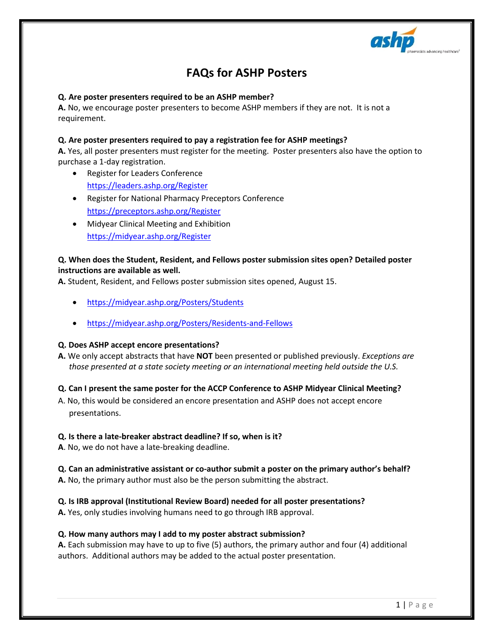

# **FAQs for ASHP Posters**

# **Q. Are poster presenters required to be an ASHP member?**

**A.** No, we encourage poster presenters to become ASHP members if they are not. It is not a requirement.

# **Q. Are poster presenters required to pay a registration fee for ASHP meetings?**

**A.** Yes, all poster presenters must register for the meeting. Poster presenters also have the option to purchase a 1-day registration.

- Register for Leaders Conference <https://leaders.ashp.org/Register>
- Register for National Pharmacy Preceptors Conference <https://preceptors.ashp.org/Register>
- Midyear Clinical Meeting and Exhibition <https://midyear.ashp.org/Register>

# **Q. When does the Student, Resident, and Fellows poster submission sites open? Detailed poster instructions are available as well.**

**A.** Student, Resident, and Fellows poster submission sites opened, August 15.

- <https://midyear.ashp.org/Posters/Students>
- <https://midyear.ashp.org/Posters/Residents-and-Fellows>

### **Q. Does ASHP accept encore presentations?**

**A.** We only accept abstracts that have **NOT** been presented or published previously. *Exceptions are those presented at a state society meeting or an international meeting held outside the U.S.*

### **Q. Can I present the same poster for the ACCP Conference to ASHP Midyear Clinical Meeting?**

A. No, this would be considered an encore presentation and ASHP does not accept encore presentations.

### **Q. Is there a late-breaker abstract deadline? If so, when is it?**

**A**. No, we do not have a late-breaking deadline.

## **Q. Can an administrative assistant or co-author submit a poster on the primary author's behalf? A.** No, the primary author must also be the person submitting the abstract.

**Q. Is IRB approval (Institutional Review Board) needed for all poster presentations?**

**A.** Yes, only studies involving humans need to go through IRB approval.

### **Q. How many authors may I add to my poster abstract submission?**

**A.** Each submission may have to up to five (5) authors, the primary author and four (4) additional authors. Additional authors may be added to the actual poster presentation.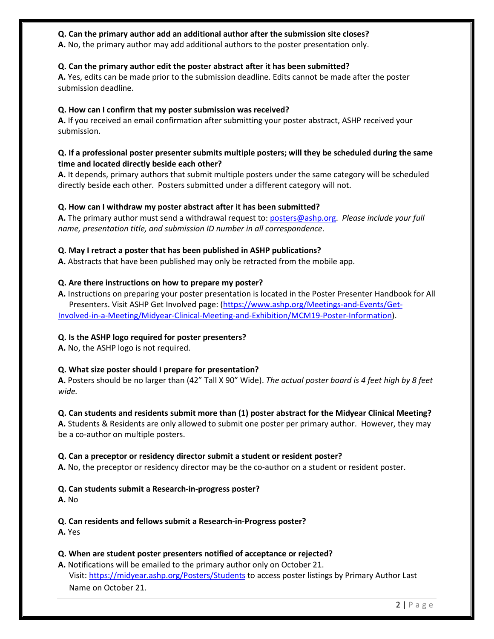# **Q. Can the primary author add an additional author after the submission site closes?**

**A.** No, the primary author may add additional authors to the poster presentation only.

# **Q. Can the primary author edit the poster abstract after it has been submitted?**

**A.** Yes, edits can be made prior to the submission deadline. Edits cannot be made after the poster submission deadline.

## **Q. How can I confirm that my poster submission was received?**

**A.** If you received an email confirmation after submitting your poster abstract, ASHP received your submission.

# **Q. If a professional poster presenter submits multiple posters; will they be scheduled during the same time and located directly beside each other?**

**A.** It depends, primary authors that submit multiple posters under the same category will be scheduled directly beside each other. Posters submitted under a different category will not.

## **Q. How can I withdraw my poster abstract after it has been submitted?**

**A.** The primary author must send a withdrawal request to[: posters@ashp.org.](mailto:posters@ashp.org) *Please include your full name, presentation title, and submission ID number in all correspondence*.

## **Q. May I retract a poster that has been published in ASHP publications?**

**A.** Abstracts that have been published may only be retracted from the mobile app.

## **Q. Are there instructions on how to prepare my poster?**

**A.** Instructions on preparing your poster presentation is located in the Poster Presenter Handbook for All Presenters. Visit ASHP Get Involved page: [\(https://www.ashp.org/Meetings-and-Events/Get-](https://www.ashp.org/Meetings-and-Events/Get-Involved-in-a-Meeting/Midyear-Clinical-Meeting-and-Exhibition/MCM19-Poster-Information)[Involved-in-a-Meeting/Midyear-Clinical-Meeting-and-Exhibition/MCM19-Poster-Information\)](https://www.ashp.org/Meetings-and-Events/Get-Involved-in-a-Meeting/Midyear-Clinical-Meeting-and-Exhibition/MCM19-Poster-Information).

# **Q. Is the ASHP logo required for poster presenters?**

**A.** No, the ASHP logo is not required.

# **Q. What size poster should I prepare for presentation?**

**A.** Posters should be no larger than (42" Tall X 90" Wide). *The actual poster board is 4 feet high by 8 feet wide.* 

### **Q. Can students and residents submit more than (1) poster abstract for the Midyear Clinical Meeting?**

**A.** Students & Residents are only allowed to submit one poster per primary author. However, they may be a co-author on multiple posters.

### **Q. Can a preceptor or residency director submit a student or resident poster?**

**A.** No, the preceptor or residency director may be the co-author on a student or resident poster.

# **Q. Can students submit a Research-in-progress poster?**

**A.** No

**Q. Can residents and fellows submit a Research-in-Progress poster?**

**A.** Yes

### **Q. When are student poster presenters notified of acceptance or rejected?**

**A.** Notifications will be emailed to the primary author only on October 21. Visit:<https://midyear.ashp.org/Posters/Students> to access poster listings by Primary Author Last Name on October 21.